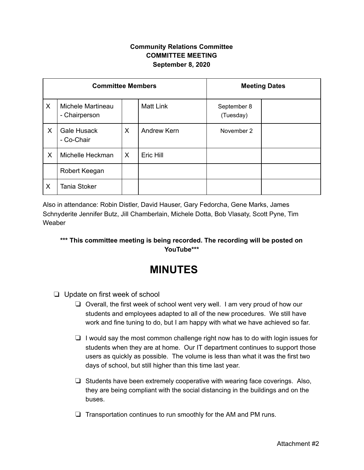## **Community Relations Committee COMMITTEE MEETING September 8, 2020**

| <b>Committee Members</b> |                                    |   |                  | <b>Meeting Dates</b>     |  |
|--------------------------|------------------------------------|---|------------------|--------------------------|--|
| X                        | Michele Martineau<br>- Chairperson |   | <b>Matt Link</b> | September 8<br>(Tuesday) |  |
| X                        | Gale Husack<br>- Co-Chair          | X | Andrew Kern      | November 2               |  |
| X                        | Michelle Heckman                   | X | Eric Hill        |                          |  |
|                          | Robert Keegan                      |   |                  |                          |  |
| X                        | <b>Tania Stoker</b>                |   |                  |                          |  |

Also in attendance: Robin Distler, David Hauser, Gary Fedorcha, Gene Marks, James Schnyderite Jennifer Butz, Jill Chamberlain, Michele Dotta, Bob Vlasaty, Scott Pyne, Tim Weaber

## **\*\*\* This committee meeting is being recorded. The recording will be posted on YouTube\*\*\***

## **MINUTES**

- ❏ Update on first week of school
	- ❏ Overall, the first week of school went very well. I am very proud of how our students and employees adapted to all of the new procedures. We still have work and fine tuning to do, but I am happy with what we have achieved so far.
	- ❏ I would say the most common challenge right now has to do with login issues for students when they are at home. Our IT department continues to support those users as quickly as possible. The volume is less than what it was the first two days of school, but still higher than this time last year.
	- ❏ Students have been extremely cooperative with wearing face coverings. Also, they are being compliant with the social distancing in the buildings and on the buses.
	- ❏ Transportation continues to run smoothly for the AM and PM runs.